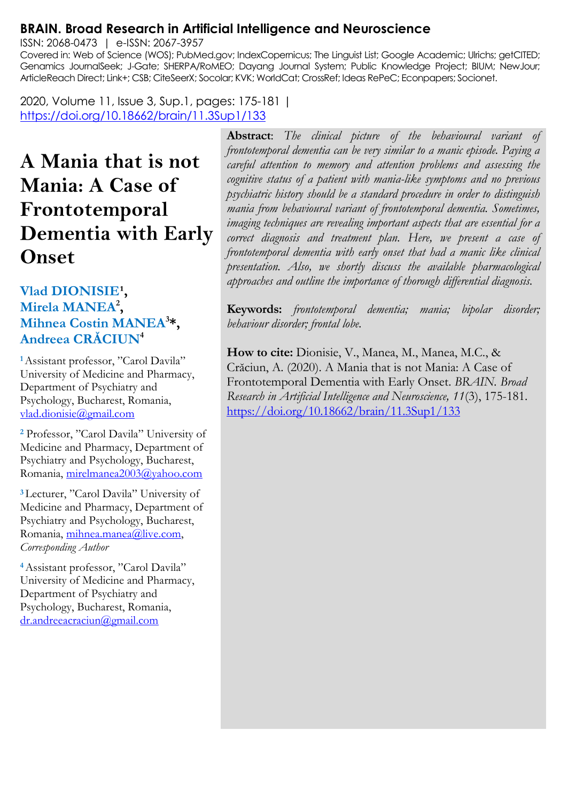#### **BRAIN. Broad Research in Artificial Intelligence and Neuroscience**

ISSN: 2068-0473 | e-ISSN: 2067-3957

Covered in: Web of Science (WOS); PubMed.gov; IndexCopernicus; The Linguist List; Google Academic; Ulrichs; getCITED; Genamics JournalSeek; J-Gate; SHERPA/RoMEO; Dayang Journal System; Public Knowledge Project; BIUM; NewJour; ArticleReach Direct; Link+; CSB; CiteSeerX; Socolar; KVK; WorldCat; CrossRef; Ideas RePeC; Econpapers; Socionet.

2020, Volume 11, Issue 3, Sup.1, pages: 175-181 | <https://doi.org/10.18662/brain/11.3Sup1/133>

# **A Mania that is not Mania: A Case of Frontotemporal Dementia with Early Onset**

#### Vlad DIONISIE<sup>1</sup>, **Mirela MANEA<sup>2</sup> , Mihnea Costin MANEA<sup>3</sup> \*, Andreea CRĂCIUN<sup>4</sup>**

**<sup>1</sup>**Assistant professor, "Carol Davila" University of Medicine and Pharmacy, Department of Psychiatry and Psychology, Bucharest, Romania, [vlad.dionisie@gmail.com](mailto:vlad.dionisie@gmail.com)

**<sup>2</sup>** Professor, "Carol Davila" University of Medicine and Pharmacy, Department of Psychiatry and Psychology, Bucharest, Romania, [mirelmanea2003@yahoo.com](mailto:mirelmanea2003@yahoo.com)

**<sup>3</sup>**Lecturer, "Carol Davila" University of Medicine and Pharmacy, Department of Psychiatry and Psychology, Bucharest, Romania, mihnea.manea@live.com, *Corresponding Author*

**<sup>4</sup>**Assistant professor, "Carol Davila" University of Medicine and Pharmacy, Department of Psychiatry and Psychology, Bucharest, Romania, [dr.andreeacraciun@gmail.com](mailto:dr.andreeacraciun@gmail.com)

**Abstract**: *The clinical picture of the behavioural variant of frontotemporal dementia can be very similar to a manic episode. Paying a careful attention to memory and attention problems and assessing the cognitive status of a patient with mania-like symptoms and no previous psychiatric history should be a standard procedure in order to distinguish mania from behavioural variant of frontotemporal dementia. Sometimes, imaging techniques are revealing important aspects that are essential for a correct diagnosis and treatment plan. Here, we present a case of frontotemporal dementia with early onset that had a manic like clinical presentation. Also, we shortly discuss the available pharmacological approaches and outline the importance of thorough differential diagnosis.*

**Keywords:** *frontotemporal dementia; mania; bipolar disorder; behaviour disorder; frontal lobe.*

**How to cite:** Dionisie, V., Manea, M., Manea, M.C., & Crăciun, A. (2020). A Mania that is not Mania: A Case of Frontotemporal Dementia with Early Onset. *BRAIN. Broad Research in Artificial Intelligence and Neuroscience, 11*(3), 175-181. <https://doi.org/10.18662/brain/11.3Sup1/133>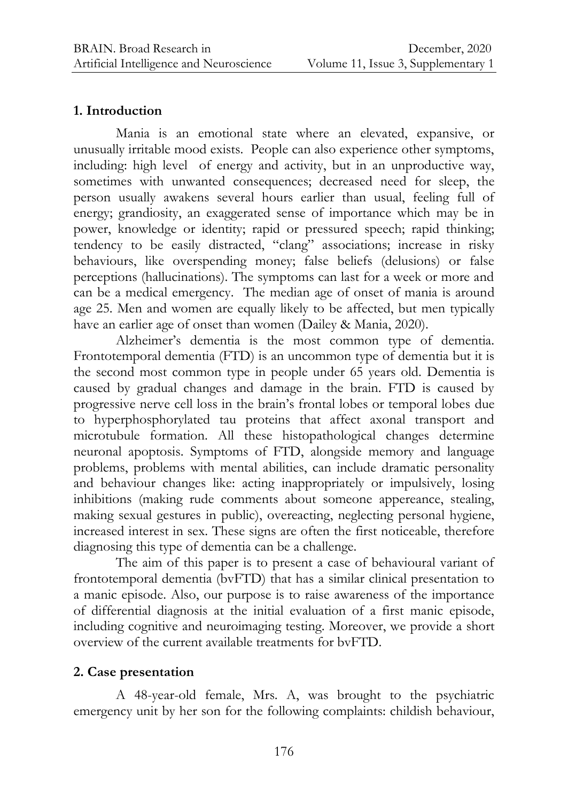#### **1. Introduction**

Mania is an emotional state where an elevated, expansive, or unusually irritable mood exists. People can also experience other symptoms, including: high level of energy and activity, but in an unproductive way, sometimes with unwanted consequences; decreased need for sleep, the person usually awakens several hours earlier than usual, feeling full of energy; grandiosity, an exaggerated sense of importance which may be in power, knowledge or identity; rapid or pressured speech; rapid thinking; tendency to be easily distracted, "clang" associations; increase in risky behaviours, like overspending money; false beliefs (delusions) or false perceptions (hallucinations). The symptoms can last for a week or more and can be a medical emergency. The median age of onset of mania is around age 25. Men and women are equally likely to be affected, but men typically have an earlier age of onset than women (Dailey & Mania, 2020).

Alzheimer's dementia is the most common type of dementia. Frontotemporal dementia (FTD) is an uncommon type of dementia but it is the second most common type in people under 65 years old. Dementia is caused by gradual changes and damage in the brain. FTD is caused by progressive nerve cell loss in the brain's frontal lobes or temporal lobes due to hyperphosphorylated tau proteins that affect axonal transport and microtubule formation. All these histopathological changes determine neuronal apoptosis. Symptoms of FTD, alongside memory and language problems, problems with mental abilities, can include dramatic personality and behaviour changes like: acting inappropriately or impulsively, losing inhibitions (making rude comments about someone appereance, stealing, making sexual gestures in public), overeacting, neglecting personal hygiene, increased interest in sex. These signs are often the first noticeable, therefore diagnosing this type of dementia can be a challenge.

The aim of this paper is to present a case of behavioural variant of frontotemporal dementia (bvFTD) that has a similar clinical presentation to a manic episode. Also, our purpose is to raise awareness of the importance of differential diagnosis at the initial evaluation of a first manic episode, including cognitive and neuroimaging testing. Moreover, we provide a short overview of the current available treatments for bvFTD.

#### **2. Case presentation**

A 48-year-old female, Mrs. A, was brought to the psychiatric emergency unit by her son for the following complaints: childish behaviour,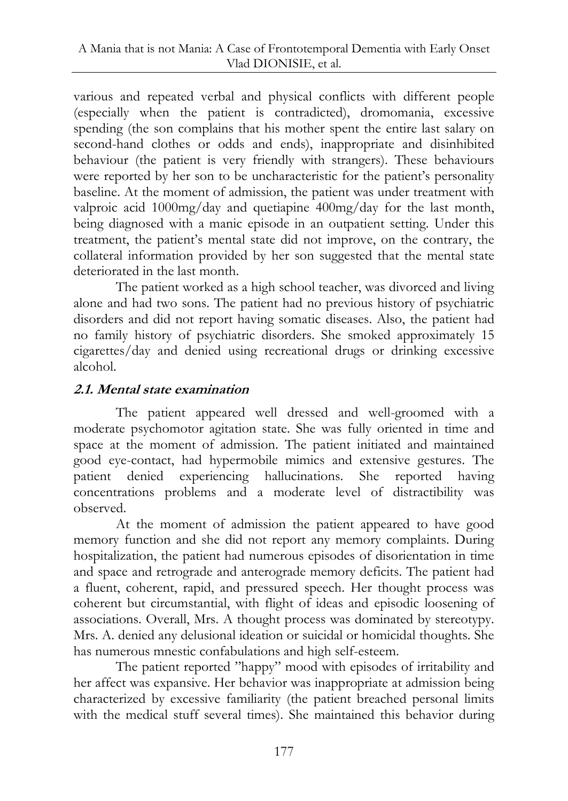various and repeated verbal and physical conflicts with different people (especially when the patient is contradicted), dromomania, excessive spending (the son complains that his mother spent the entire last salary on second-hand clothes or odds and ends), inappropriate and disinhibited behaviour (the patient is very friendly with strangers). These behaviours were reported by her son to be uncharacteristic for the patient's personality baseline. At the moment of admission, the patient was under treatment with valproic acid 1000mg/day and quetiapine 400mg/day for the last month, being diagnosed with a manic episode in an outpatient setting. Under this treatment, the patient's mental state did not improve, on the contrary, the collateral information provided by her son suggested that the mental state deteriorated in the last month.

The patient worked as a high school teacher, was divorced and living alone and had two sons. The patient had no previous history of psychiatric disorders and did not report having somatic diseases. Also, the patient had no family history of psychiatric disorders. She smoked approximately 15 cigarettes/day and denied using recreational drugs or drinking excessive alcohol.

# **2.1. Mental state examination**

The patient appeared well dressed and well-groomed with a moderate psychomotor agitation state. She was fully oriented in time and space at the moment of admission. The patient initiated and maintained good eye-contact, had hypermobile mimics and extensive gestures. The patient denied experiencing hallucinations. She reported having concentrations problems and a moderate level of distractibility was observed.

At the moment of admission the patient appeared to have good memory function and she did not report any memory complaints. During hospitalization, the patient had numerous episodes of disorientation in time and space and retrograde and anterograde memory deficits. The patient had a fluent, coherent, rapid, and pressured speech. Her thought process was coherent but circumstantial, with flight of ideas and episodic loosening of associations. Overall, Mrs. A thought process was dominated by stereotypy. Mrs. A. denied any delusional ideation or suicidal or homicidal thoughts. She has numerous mnestic confabulations and high self-esteem.

The patient reported "happy" mood with episodes of irritability and her affect was expansive. Her behavior was inappropriate at admission being characterized by excessive familiarity (the patient breached personal limits with the medical stuff several times). She maintained this behavior during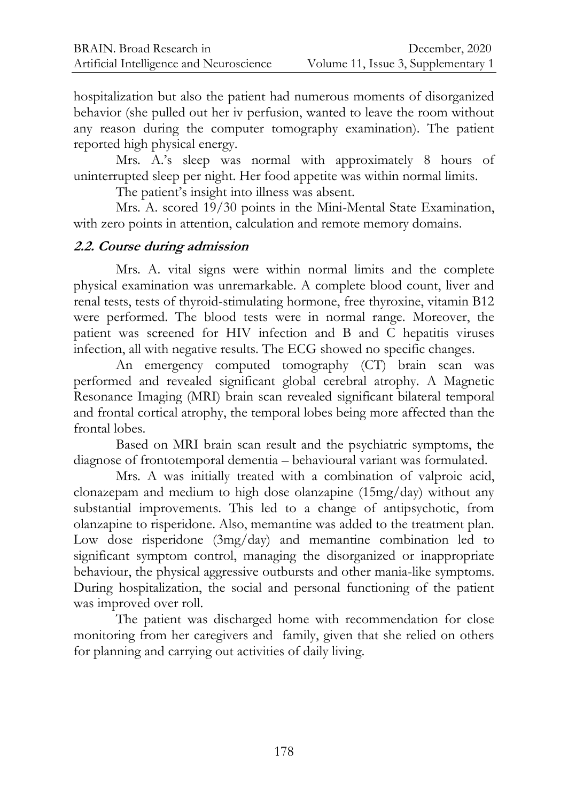hospitalization but also the patient had numerous moments of disorganized behavior (she pulled out her iv perfusion, wanted to leave the room without any reason during the computer tomography examination). The patient reported high physical energy.

Mrs. A.'s sleep was normal with approximately 8 hours of uninterrupted sleep per night. Her food appetite was within normal limits.

The patient's insight into illness was absent.

Mrs. A. scored 19/30 points in the Mini-Mental State Examination, with zero points in attention, calculation and remote memory domains.

## **2.2. Course during admission**

Mrs. A. vital signs were within normal limits and the complete physical examination was unremarkable. A complete blood count, liver and renal tests, tests of thyroid-stimulating hormone, free thyroxine, vitamin B12 were performed. The blood tests were in normal range. Moreover, the patient was screened for HIV infection and B and C hepatitis viruses infection, all with negative results. The ECG showed no specific changes.

An emergency computed tomography (CT) brain scan was performed and revealed significant global cerebral atrophy. A Magnetic Resonance Imaging (MRI) brain scan revealed significant bilateral temporal and frontal cortical atrophy, the temporal lobes being more affected than the frontal lobes.

Based on MRI brain scan result and the psychiatric symptoms, the diagnose of frontotemporal dementia – behavioural variant was formulated.

Mrs. A was initially treated with a combination of valproic acid, clonazepam and medium to high dose olanzapine (15mg/day) without any substantial improvements. This led to a change of antipsychotic, from olanzapine to risperidone. Also, memantine was added to the treatment plan. Low dose risperidone (3mg/day) and memantine combination led to significant symptom control, managing the disorganized or inappropriate behaviour, the physical aggressive outbursts and other mania-like symptoms. During hospitalization, the social and personal functioning of the patient was improved over roll.

The patient was discharged home with recommendation for close monitoring from her caregivers and family, given that she relied on others for planning and carrying out activities of daily living.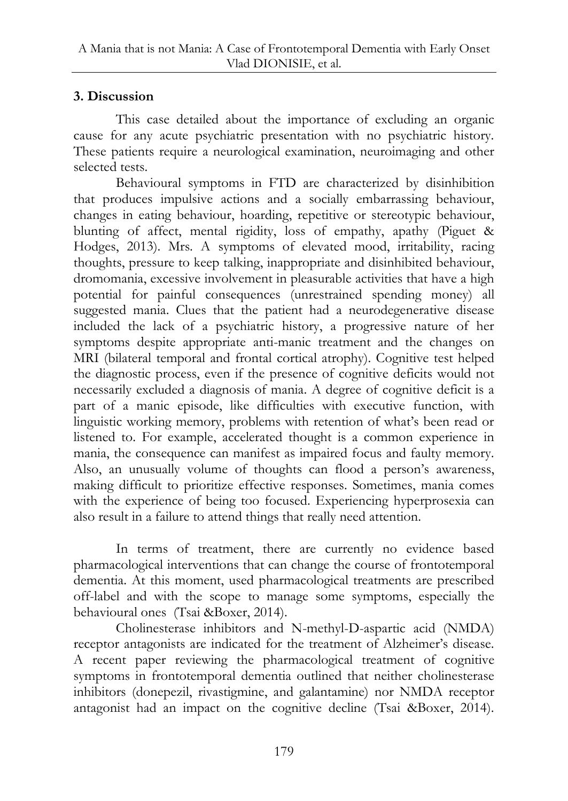## **3. Discussion**

This case detailed about the importance of excluding an organic cause for any acute psychiatric presentation with no psychiatric history. These patients require a neurological examination, neuroimaging and other selected tests.

Behavioural symptoms in FTD are characterized by disinhibition that produces impulsive actions and a socially embarrassing behaviour, changes in eating behaviour, hoarding, repetitive or stereotypic behaviour, blunting of affect, mental rigidity, loss of empathy, apathy (Piguet & Hodges, 2013). Mrs. A symptoms of elevated mood, irritability, racing thoughts, pressure to keep talking, inappropriate and disinhibited behaviour, dromomania, excessive involvement in pleasurable activities that have a high potential for painful consequences (unrestrained spending money) all suggested mania. Clues that the patient had a neurodegenerative disease included the lack of a psychiatric history, a progressive nature of her symptoms despite appropriate anti-manic treatment and the changes on MRI (bilateral temporal and frontal cortical atrophy). Cognitive test helped the diagnostic process, even if the presence of cognitive deficits would not necessarily excluded a diagnosis of mania. A degree of cognitive deficit is a part of a manic episode, like difficulties with executive function, with linguistic working memory, problems with retention of what's been read or listened to. For example, accelerated thought is a common experience in mania, the consequence can manifest as impaired focus and faulty memory. Also, an unusually volume of thoughts can flood a person's awareness, making difficult to prioritize effective responses. Sometimes, mania comes with the experience of being too focused. Experiencing hyperprosexia can also result in a failure to attend things that really need attention.

In terms of treatment, there are currently no evidence based pharmacological interventions that can change the course of frontotemporal dementia. At this moment, used pharmacological treatments are prescribed off-label and with the scope to manage some symptoms, especially the behavioural ones (Tsai &Boxer, 2014).

Cholinesterase inhibitors and N-methyl-D-aspartic acid (NMDA) receptor antagonists are indicated for the treatment of Alzheimer's disease. A recent paper reviewing the pharmacological treatment of cognitive symptoms in frontotemporal dementia outlined that neither cholinesterase inhibitors (donepezil, rivastigmine, and galantamine) nor NMDA receptor antagonist had an impact on the cognitive decline (Tsai &Boxer, 2014).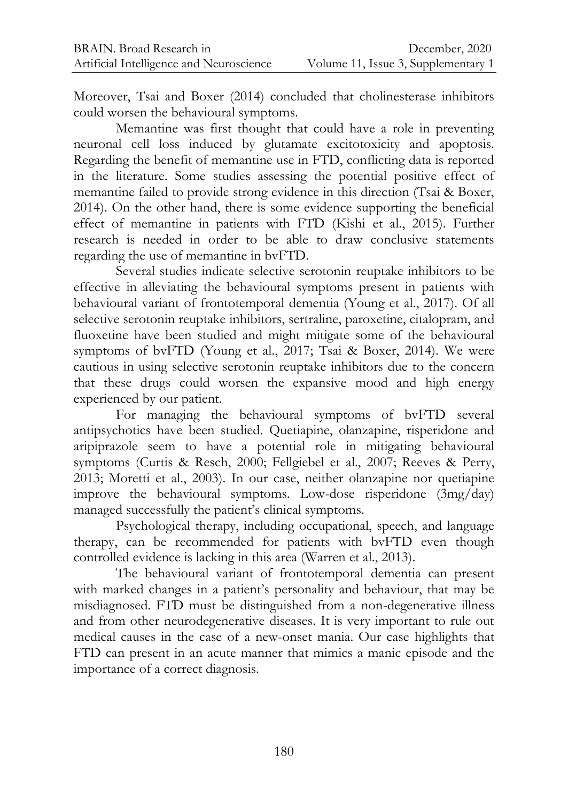Moreover, Tsai and Boxer (2014) concluded that cholinesterase inhibitors could worsen the behavioural symptoms.

Memantine was first thought that could have a role in preventing neuronal cell loss induced by glutamate excitotoxicity and apoptosis. Regarding the benefit of memantine use in FTD, conflicting data is reported in the literature. Some studies assessing the potential positive effect of memantine failed to provide strong evidence in this direction (Tsai & Boxer, 2014). On the other hand, there is some evidence supporting the beneficial effect of memantine in patients with FTD (Kishi et al., 2015). Further research is needed in order to be able to draw conclusive statements regarding the use of memantine in bvFTD.

Several studies indicate selective serotonin reuptake inhibitors to be effective in alleviating the behavioural symptoms present in patients with behavioural variant of frontotemporal dementia (Young et al., 2017). Of all selective serotonin reuptake inhibitors, sertraline, paroxetine, citalopram, and fluoxetine have been studied and might mitigate some of the behavioural symptoms of bvFTD (Young et al., 2017; Tsai & Boxer, 2014). We were cautious in using selective serotonin reuptake inhibitors due to the concern that these drugs could worsen the expansive mood and high energy experienced by our patient.

For managing the behavioural symptoms of bvFTD several antipsychotics have been studied. Quetiapine, olanzapine, risperidone and aripiprazole seem to have a potential role in mitigating behavioural symptoms (Curtis & Resch, 2000; Fellgiebel et al., 2007; Reeves & Perry, 2013; Moretti et al., 2003). In our case, neither olanzapine nor quetiapine improve the behavioural symptoms. Low-dose risperidone (3mg/day) managed successfully the patient's clinical symptoms.

Psychological therapy, including occupational, speech, and language therapy, can be recommended for patients with bvFTD even though controlled evidence is lacking in this area (Warren et al., 2013).

The behavioural variant of frontotemporal dementia can present with marked changes in a patient's personality and behaviour, that may be misdiagnosed. FTD must be distinguished from a non-degenerative illness and from other neurodegenerative diseases. It is very important to rule out medical causes in the case of a new-onset mania. Our case highlights that FTD can present in an acute manner that mimics a manic episode and the importance of a correct diagnosis.